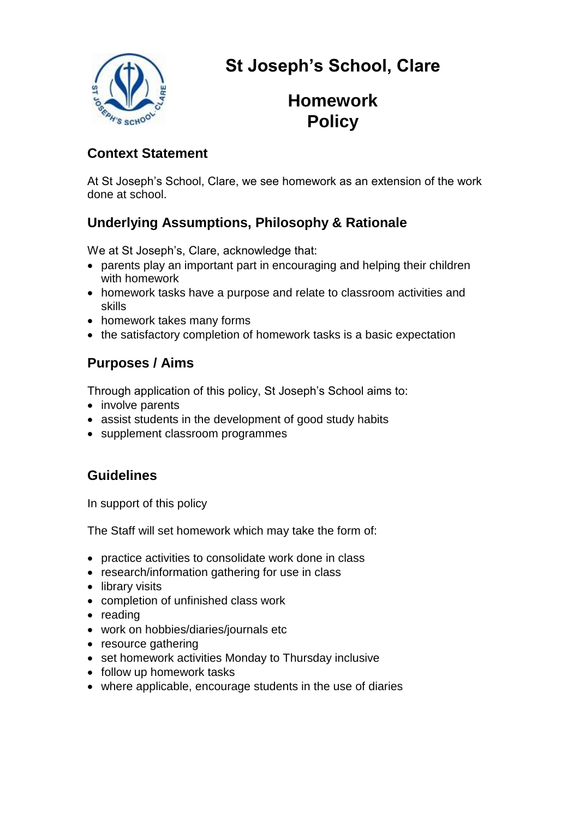

# **St Joseph's School, Clare**

## **Homework Policy**

#### **Context Statement**

At St Joseph's School, Clare, we see homework as an extension of the work done at school.

## **Underlying Assumptions, Philosophy & Rationale**

We at St Joseph's, Clare, acknowledge that:

- parents play an important part in encouraging and helping their children with homework
- homework tasks have a purpose and relate to classroom activities and skills
- homework takes many forms
- the satisfactory completion of homework tasks is a basic expectation

## **Purposes / Aims**

Through application of this policy, St Joseph's School aims to:

- involve parents
- assist students in the development of good study habits
- supplement classroom programmes

#### **Guidelines**

In support of this policy

The Staff will set homework which may take the form of:

- practice activities to consolidate work done in class
- research/information gathering for use in class
- library visits
- completion of unfinished class work
- reading
- work on hobbies/diaries/journals etc
- resource gathering
- set homework activities Monday to Thursday inclusive
- follow up homework tasks
- where applicable, encourage students in the use of diaries